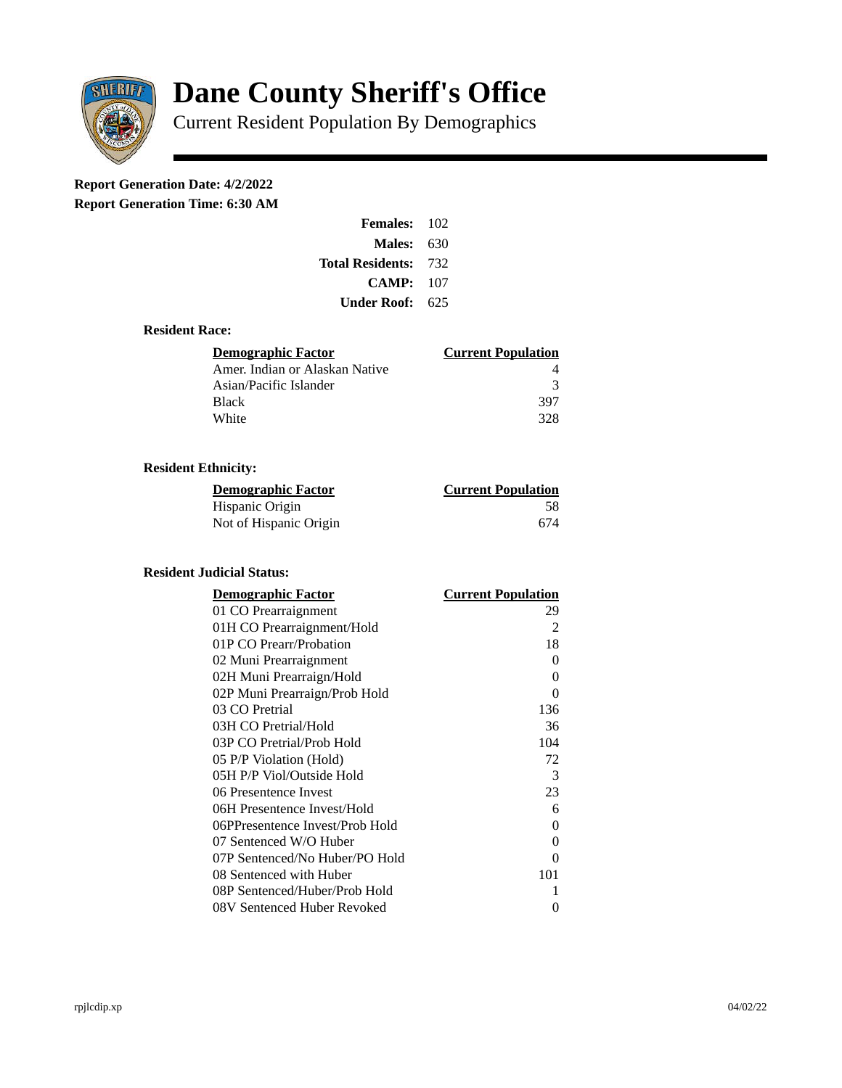

# **Dane County Sheriff's Office**

Current Resident Population By Demographics

# **Report Generation Date: 4/2/2022**

**Report Generation Time: 6:30 AM** 

| <b>Females: 102</b>         |     |
|-----------------------------|-----|
| Males:                      | 630 |
| <b>Total Residents: 732</b> |     |
| CAMP:                       | 107 |
| Under Roof: 625             |     |

### **Resident Race:**

| Demographic Factor             | <b>Current Population</b> |
|--------------------------------|---------------------------|
| Amer. Indian or Alaskan Native |                           |
| Asian/Pacific Islander         | २                         |
| Black                          | 397                       |
| White                          | 328                       |

# **Resident Ethnicity:**

| <u>Demographic Factor</u> | <b>Current Population</b> |
|---------------------------|---------------------------|
| Hispanic Origin           | 58                        |
| Not of Hispanic Origin    | 674                       |

# **Resident Judicial Status:**

| <b>Demographic Factor</b>       | <b>Current Population</b> |
|---------------------------------|---------------------------|
| 01 CO Prearraignment            | 29                        |
| 01H CO Prearraignment/Hold      | $\overline{2}$            |
| 01P CO Prearr/Probation         | 18                        |
| 02 Muni Prearraignment          | 0                         |
| 02H Muni Prearraign/Hold        | 0                         |
| 02P Muni Prearraign/Prob Hold   | 0                         |
| 03 CO Pretrial                  | 136                       |
| 03H CO Pretrial/Hold            | 36                        |
| 03P CO Pretrial/Prob Hold       | 104                       |
| 05 P/P Violation (Hold)         | 72                        |
| 05H P/P Viol/Outside Hold       | 3                         |
| 06 Presentence Invest           | 23                        |
| 06H Presentence Invest/Hold     | 6                         |
| 06PPresentence Invest/Prob Hold | 0                         |
| 07 Sentenced W/O Huber          | 0                         |
| 07P Sentenced/No Huber/PO Hold  | 0                         |
| 08 Sentenced with Huber         | 101                       |
| 08P Sentenced/Huber/Prob Hold   | 1                         |
| 08V Sentenced Huber Revoked     | 0                         |